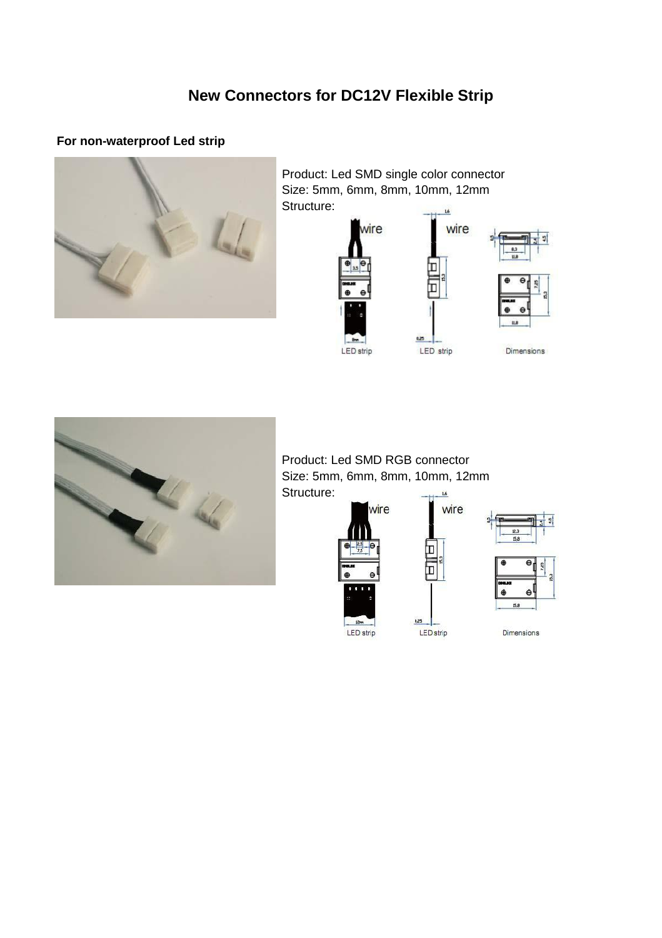# **New Connectors for DC12V Flexible Strip**

### **For non-waterproof Led strip**



Product: Led SMD single color connector Size: 5mm, 6mm, 8mm, 10mm, 12mm Structure:



wire



Product: Led SMD RGB connector Size: 5mm, 6mm, 8mm, 10mm, 12mm Structure: $1.6\,$ 





Dimensions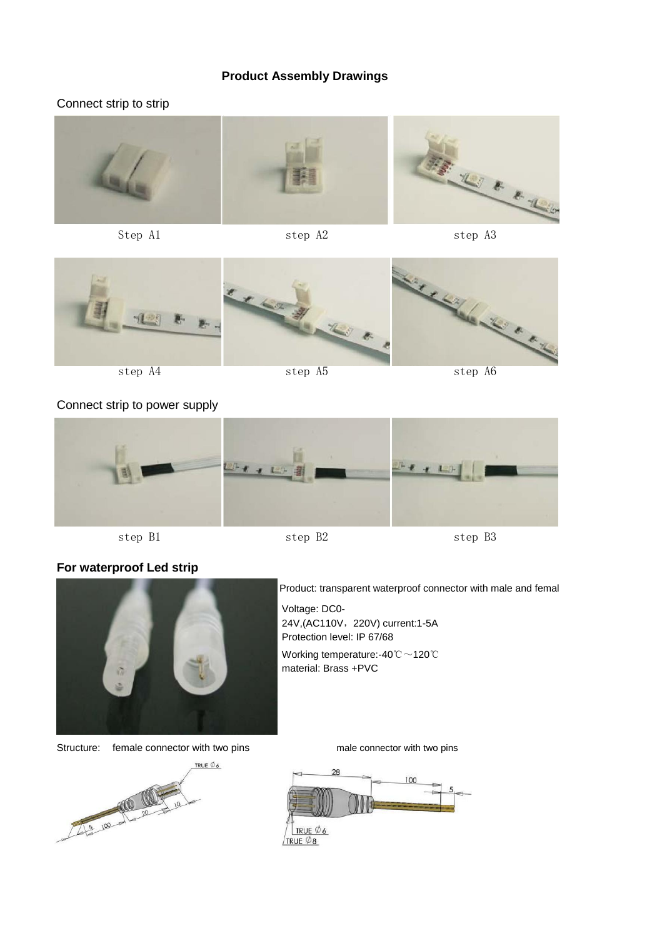#### **Product Assembly Drawings**

#### Connect strip to strip



Step A1 step A2 step A3



Connect strip to power supply



#### **For waterproof Led strip**



Product: transparent waterproof connector with male and femal Voltage: DC0- 24V,(AC110V, 220V) current:1-5A Protection level: IP 67/68 Working temperature:-40℃~120℃

material: Brass +PVC

Structure: female connector with two pins male connector with two pins



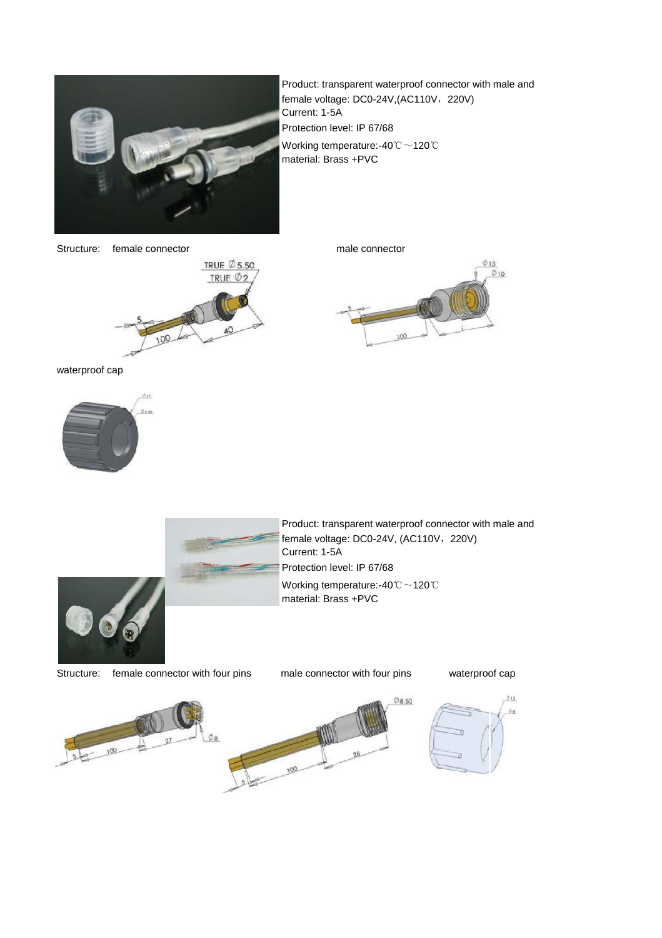

Product: transparent waterproof connector with male and female voltage: DC0-24V,(AC110V, 220V) Current: 1-5A Protection level: IP 67/68 Working temperature:-40℃~120℃ material: Brass +PVC

Structure: female connector male connector





waterproof cap





Product: transparent waterproof connector with male and female voltage: DC0-24V, (AC110V, 220V) Current: 1-5A Protection level: IP 67/68 Working temperature:-40℃~120℃ material: Brass +PVC

Structure: female connector with four pins male connector with four pins waterproof cap



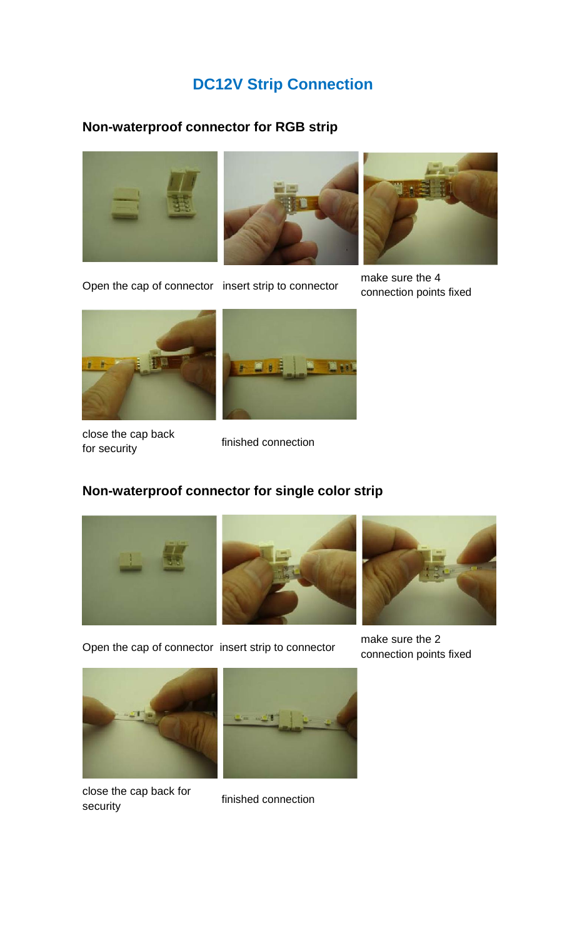# **DC12V Strip Connection**

#### **Non-waterproof connector for RGB strip**





Open the cap of connector insert strip to connector make sure the 4 connection points fixed





close the cap back<br>finished connection<br>finished connection

## **Non-waterproof connector for single color strip**







Open the cap of connector insert strip to connector make sure the 2 connection points fixed





close the cap back for<br>
finished connection<br>
security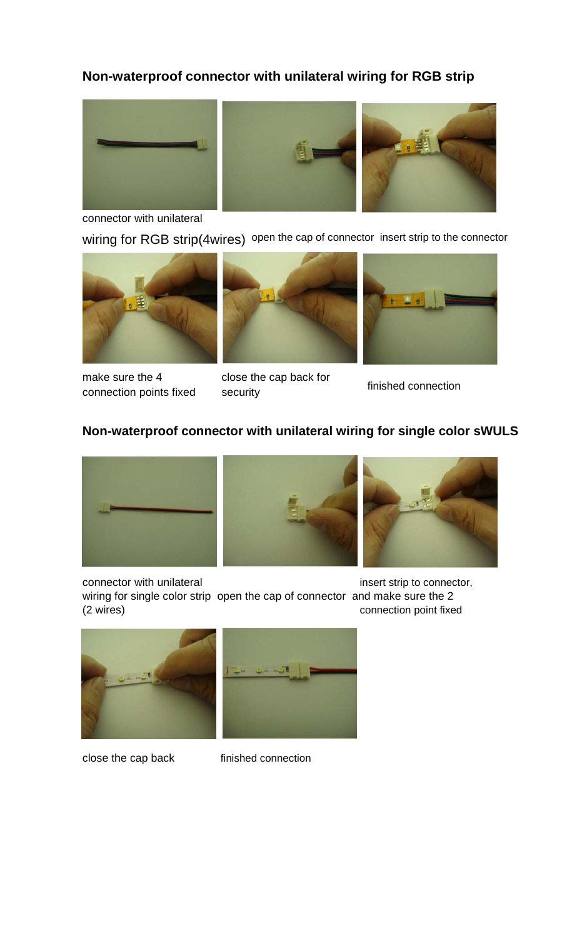## **Non-waterproof connector with unilateral wiring for RGB strip**



connector with unilateral

wiring for RGB strip(4wires) open the cap of connector insert strip to the connector





make sure the 4 close the cap back for finished connection points fixed security finished connection



#### **Non-waterproof connector with unilateral wiring for single color sWULS**



connector with unilateral insert strip to connector,





wiring for single color strip open the cap of connector and make sure the 2 (2 wires) connection point fixed





close the cap back finished connection